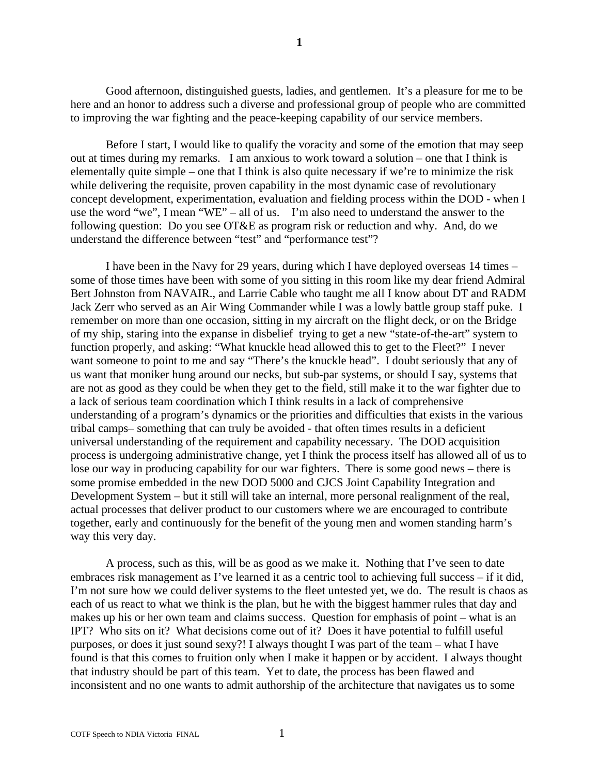Good afternoon, distinguished guests, ladies, and gentlemen. It's a pleasure for me to be here and an honor to address such a diverse and professional group of people who are committed to improving the war fighting and the peace-keeping capability of our service members.

Before I start, I would like to qualify the voracity and some of the emotion that may seep out at times during my remarks. I am anxious to work toward a solution – one that I think is elementally quite simple – one that I think is also quite necessary if we're to minimize the risk while delivering the requisite, proven capability in the most dynamic case of revolutionary concept development, experimentation, evaluation and fielding process within the DOD - when I use the word "we", I mean "WE" – all of us. I'm also need to understand the answer to the following question: Do you see OT&E as program risk or reduction and why. And, do we understand the difference between "test" and "performance test"?

I have been in the Navy for 29 years, during which I have deployed overseas 14 times – some of those times have been with some of you sitting in this room like my dear friend Admiral Bert Johnston from NAVAIR., and Larrie Cable who taught me all I know about DT and RADM Jack Zerr who served as an Air Wing Commander while I was a lowly battle group staff puke. I remember on more than one occasion, sitting in my aircraft on the flight deck, or on the Bridge of my ship, staring into the expanse in disbelief trying to get a new "state-of-the-art" system to function properly, and asking: "What knuckle head allowed this to get to the Fleet?" I never want someone to point to me and say "There's the knuckle head". I doubt seriously that any of us want that moniker hung around our necks, but sub-par systems, or should I say, systems that are not as good as they could be when they get to the field, still make it to the war fighter due to a lack of serious team coordination which I think results in a lack of comprehensive understanding of a program's dynamics or the priorities and difficulties that exists in the various tribal camps– something that can truly be avoided - that often times results in a deficient universal understanding of the requirement and capability necessary. The DOD acquisition process is undergoing administrative change, yet I think the process itself has allowed all of us to lose our way in producing capability for our war fighters. There is some good news – there is some promise embedded in the new DOD 5000 and CJCS Joint Capability Integration and Development System – but it still will take an internal, more personal realignment of the real, actual processes that deliver product to our customers where we are encouraged to contribute together, early and continuously for the benefit of the young men and women standing harm's way this very day.

A process, such as this, will be as good as we make it. Nothing that I've seen to date embraces risk management as I've learned it as a centric tool to achieving full success – if it did, I'm not sure how we could deliver systems to the fleet untested yet, we do. The result is chaos as each of us react to what we think is the plan, but he with the biggest hammer rules that day and makes up his or her own team and claims success. Question for emphasis of point – what is an IPT? Who sits on it? What decisions come out of it? Does it have potential to fulfill useful purposes, or does it just sound sexy?! I always thought I was part of the team – what I have found is that this comes to fruition only when I make it happen or by accident. I always thought that industry should be part of this team. Yet to date, the process has been flawed and inconsistent and no one wants to admit authorship of the architecture that navigates us to some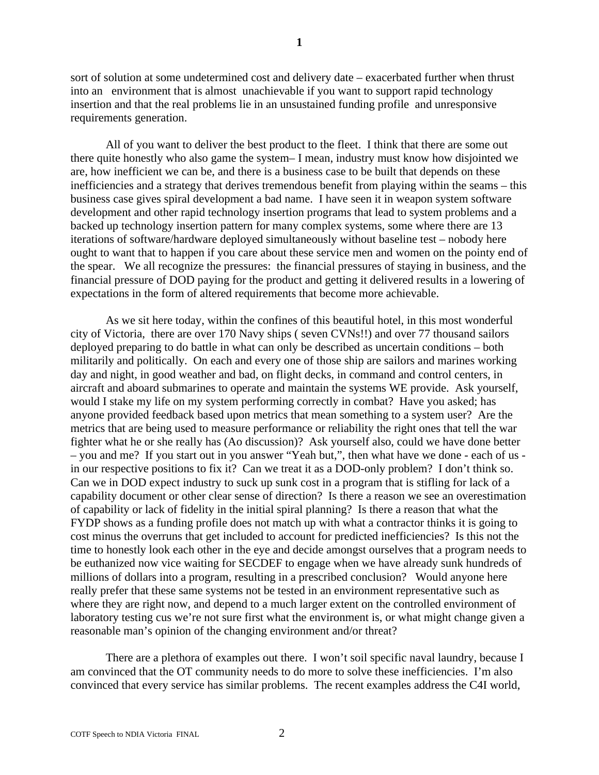sort of solution at some undetermined cost and delivery date – exacerbated further when thrust into an environment that is almost unachievable if you want to support rapid technology insertion and that the real problems lie in an unsustained funding profile and unresponsive requirements generation.

All of you want to deliver the best product to the fleet. I think that there are some out there quite honestly who also game the system– I mean, industry must know how disjointed we are, how inefficient we can be, and there is a business case to be built that depends on these inefficiencies and a strategy that derives tremendous benefit from playing within the seams – this business case gives spiral development a bad name. I have seen it in weapon system software development and other rapid technology insertion programs that lead to system problems and a backed up technology insertion pattern for many complex systems, some where there are 13 iterations of software/hardware deployed simultaneously without baseline test – nobody here ought to want that to happen if you care about these service men and women on the pointy end of the spear. We all recognize the pressures: the financial pressures of staying in business, and the financial pressure of DOD paying for the product and getting it delivered results in a lowering of expectations in the form of altered requirements that become more achievable.

As we sit here today, within the confines of this beautiful hotel, in this most wonderful city of Victoria, there are over 170 Navy ships ( seven CVNs!!) and over 77 thousand sailors deployed preparing to do battle in what can only be described as uncertain conditions – both militarily and politically. On each and every one of those ship are sailors and marines working day and night, in good weather and bad, on flight decks, in command and control centers, in aircraft and aboard submarines to operate and maintain the systems WE provide. Ask yourself, would I stake my life on my system performing correctly in combat? Have you asked; has anyone provided feedback based upon metrics that mean something to a system user? Are the metrics that are being used to measure performance or reliability the right ones that tell the war fighter what he or she really has (Ao discussion)? Ask yourself also, could we have done better – you and me? If you start out in you answer "Yeah but,", then what have we done - each of us in our respective positions to fix it? Can we treat it as a DOD-only problem? I don't think so. Can we in DOD expect industry to suck up sunk cost in a program that is stifling for lack of a capability document or other clear sense of direction? Is there a reason we see an overestimation of capability or lack of fidelity in the initial spiral planning? Is there a reason that what the FYDP shows as a funding profile does not match up with what a contractor thinks it is going to cost minus the overruns that get included to account for predicted inefficiencies? Is this not the time to honestly look each other in the eye and decide amongst ourselves that a program needs to be euthanized now vice waiting for SECDEF to engage when we have already sunk hundreds of millions of dollars into a program, resulting in a prescribed conclusion? Would anyone here really prefer that these same systems not be tested in an environment representative such as where they are right now, and depend to a much larger extent on the controlled environment of laboratory testing cus we're not sure first what the environment is, or what might change given a reasonable man's opinion of the changing environment and/or threat?

There are a plethora of examples out there. I won't soil specific naval laundry, because I am convinced that the OT community needs to do more to solve these inefficiencies. I'm also convinced that every service has similar problems. The recent examples address the C4I world,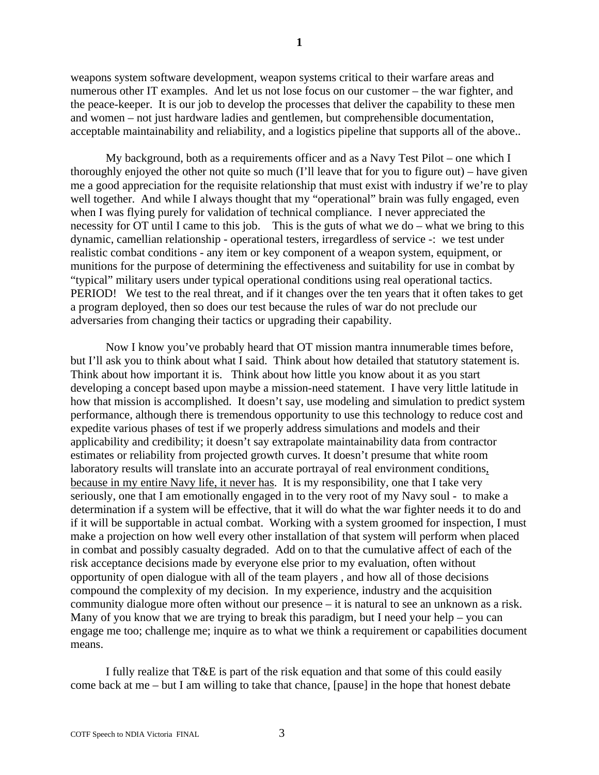weapons system software development, weapon systems critical to their warfare areas and numerous other IT examples. And let us not lose focus on our customer – the war fighter, and the peace-keeper. It is our job to develop the processes that deliver the capability to these men and women – not just hardware ladies and gentlemen, but comprehensible documentation, acceptable maintainability and reliability, and a logistics pipeline that supports all of the above..

My background, both as a requirements officer and as a Navy Test Pilot – one which I thoroughly enjoyed the other not quite so much (I'll leave that for you to figure out) – have given me a good appreciation for the requisite relationship that must exist with industry if we're to play well together. And while I always thought that my "operational" brain was fully engaged, even when I was flying purely for validation of technical compliance. I never appreciated the necessity for OT until I came to this job. This is the guts of what we do – what we bring to this dynamic, camellian relationship - operational testers, irregardless of service -: we test under realistic combat conditions - any item or key component of a weapon system, equipment, or munitions for the purpose of determining the effectiveness and suitability for use in combat by "typical" military users under typical operational conditions using real operational tactics. PERIOD! We test to the real threat, and if it changes over the ten years that it often takes to get a program deployed, then so does our test because the rules of war do not preclude our adversaries from changing their tactics or upgrading their capability.

Now I know you've probably heard that OT mission mantra innumerable times before, but I'll ask you to think about what I said. Think about how detailed that statutory statement is. Think about how important it is. Think about how little you know about it as you start developing a concept based upon maybe a mission-need statement. I have very little latitude in how that mission is accomplished. It doesn't say, use modeling and simulation to predict system performance, although there is tremendous opportunity to use this technology to reduce cost and expedite various phases of test if we properly address simulations and models and their applicability and credibility; it doesn't say extrapolate maintainability data from contractor estimates or reliability from projected growth curves. It doesn't presume that white room laboratory results will translate into an accurate portrayal of real environment conditions, because in my entire Navy life, it never has. It is my responsibility, one that I take very seriously, one that I am emotionally engaged in to the very root of my Navy soul - to make a determination if a system will be effective, that it will do what the war fighter needs it to do and if it will be supportable in actual combat. Working with a system groomed for inspection, I must make a projection on how well every other installation of that system will perform when placed in combat and possibly casualty degraded. Add on to that the cumulative affect of each of the risk acceptance decisions made by everyone else prior to my evaluation, often without opportunity of open dialogue with all of the team players , and how all of those decisions compound the complexity of my decision. In my experience, industry and the acquisition community dialogue more often without our presence – it is natural to see an unknown as a risk. Many of you know that we are trying to break this paradigm, but I need your help – you can engage me too; challenge me; inquire as to what we think a requirement or capabilities document means.

I fully realize that T&E is part of the risk equation and that some of this could easily come back at me – but I am willing to take that chance, [pause] in the hope that honest debate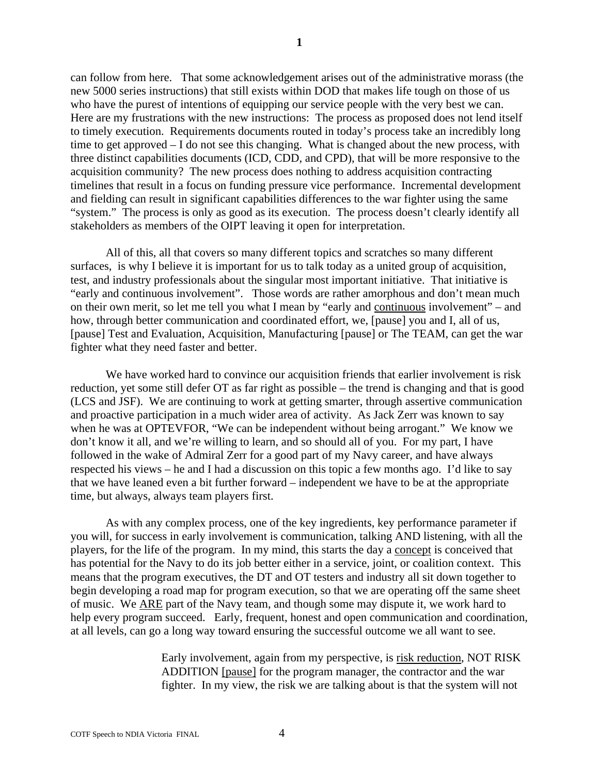can follow from here. That some acknowledgement arises out of the administrative morass (the new 5000 series instructions) that still exists within DOD that makes life tough on those of us who have the purest of intentions of equipping our service people with the very best we can. Here are my frustrations with the new instructions: The process as proposed does not lend itself to timely execution. Requirements documents routed in today's process take an incredibly long time to get approved – I do not see this changing. What is changed about the new process, with three distinct capabilities documents (ICD, CDD, and CPD), that will be more responsive to the acquisition community? The new process does nothing to address acquisition contracting timelines that result in a focus on funding pressure vice performance. Incremental development and fielding can result in significant capabilities differences to the war fighter using the same "system." The process is only as good as its execution. The process doesn't clearly identify all stakeholders as members of the OIPT leaving it open for interpretation.

All of this, all that covers so many different topics and scratches so many different surfaces, is why I believe it is important for us to talk today as a united group of acquisition, test, and industry professionals about the singular most important initiative. That initiative is "early and continuous involvement". Those words are rather amorphous and don't mean much on their own merit, so let me tell you what I mean by "early and continuous involvement" – and how, through better communication and coordinated effort, we, [pause] you and I, all of us, [pause] Test and Evaluation, Acquisition, Manufacturing [pause] or The TEAM, can get the war fighter what they need faster and better.

We have worked hard to convince our acquisition friends that earlier involvement is risk reduction, yet some still defer OT as far right as possible – the trend is changing and that is good (LCS and JSF). We are continuing to work at getting smarter, through assertive communication and proactive participation in a much wider area of activity. As Jack Zerr was known to say when he was at OPTEVFOR, "We can be independent without being arrogant." We know we don't know it all, and we're willing to learn, and so should all of you. For my part, I have followed in the wake of Admiral Zerr for a good part of my Navy career, and have always respected his views – he and I had a discussion on this topic a few months ago. I'd like to say that we have leaned even a bit further forward – independent we have to be at the appropriate time, but always, always team players first.

As with any complex process, one of the key ingredients, key performance parameter if you will, for success in early involvement is communication, talking AND listening, with all the players, for the life of the program. In my mind, this starts the day a concept is conceived that has potential for the Navy to do its job better either in a service, joint, or coalition context. This means that the program executives, the DT and OT testers and industry all sit down together to begin developing a road map for program execution, so that we are operating off the same sheet of music. We ARE part of the Navy team, and though some may dispute it, we work hard to help every program succeed. Early, frequent, honest and open communication and coordination, at all levels, can go a long way toward ensuring the successful outcome we all want to see.

> Early involvement, again from my perspective, is risk reduction, NOT RISK ADDITION [pause] for the program manager, the contractor and the war fighter. In my view, the risk we are talking about is that the system will not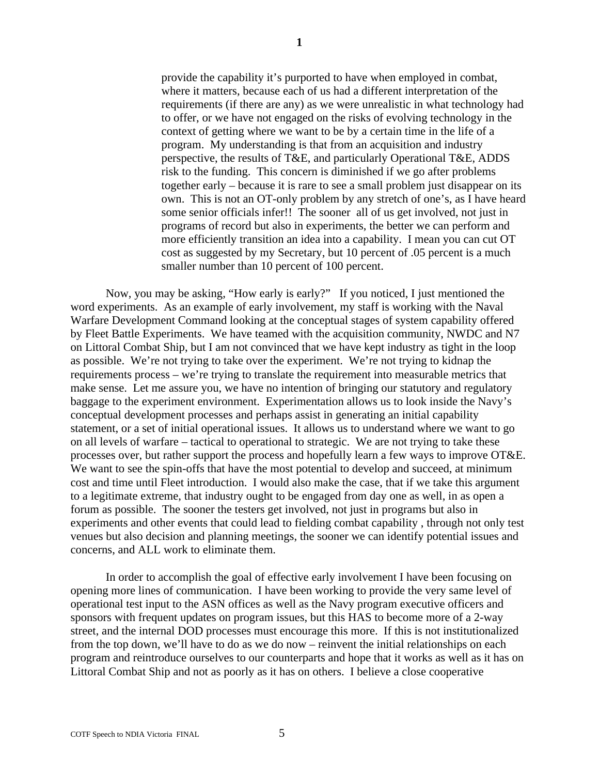provide the capability it's purported to have when employed in combat, where it matters, because each of us had a different interpretation of the requirements (if there are any) as we were unrealistic in what technology had to offer, or we have not engaged on the risks of evolving technology in the context of getting where we want to be by a certain time in the life of a program. My understanding is that from an acquisition and industry perspective, the results of T&E, and particularly Operational T&E, ADDS risk to the funding. This concern is diminished if we go after problems together early – because it is rare to see a small problem just disappear on its own. This is not an OT-only problem by any stretch of one's, as I have heard some senior officials infer!! The sooner all of us get involved, not just in programs of record but also in experiments, the better we can perform and more efficiently transition an idea into a capability. I mean you can cut OT cost as suggested by my Secretary, but 10 percent of .05 percent is a much smaller number than 10 percent of 100 percent.

Now, you may be asking, "How early is early?" If you noticed, I just mentioned the word experiments. As an example of early involvement, my staff is working with the Naval Warfare Development Command looking at the conceptual stages of system capability offered by Fleet Battle Experiments. We have teamed with the acquisition community, NWDC and N7 on Littoral Combat Ship, but I am not convinced that we have kept industry as tight in the loop as possible. We're not trying to take over the experiment. We're not trying to kidnap the requirements process – we're trying to translate the requirement into measurable metrics that make sense. Let me assure you, we have no intention of bringing our statutory and regulatory baggage to the experiment environment. Experimentation allows us to look inside the Navy's conceptual development processes and perhaps assist in generating an initial capability statement, or a set of initial operational issues. It allows us to understand where we want to go on all levels of warfare – tactical to operational to strategic. We are not trying to take these processes over, but rather support the process and hopefully learn a few ways to improve OT&E. We want to see the spin-offs that have the most potential to develop and succeed, at minimum cost and time until Fleet introduction. I would also make the case, that if we take this argument to a legitimate extreme, that industry ought to be engaged from day one as well, in as open a forum as possible. The sooner the testers get involved, not just in programs but also in experiments and other events that could lead to fielding combat capability , through not only test venues but also decision and planning meetings, the sooner we can identify potential issues and concerns, and ALL work to eliminate them.

In order to accomplish the goal of effective early involvement I have been focusing on opening more lines of communication. I have been working to provide the very same level of operational test input to the ASN offices as well as the Navy program executive officers and sponsors with frequent updates on program issues, but this HAS to become more of a 2-way street, and the internal DOD processes must encourage this more. If this is not institutionalized from the top down, we'll have to do as we do now – reinvent the initial relationships on each program and reintroduce ourselves to our counterparts and hope that it works as well as it has on Littoral Combat Ship and not as poorly as it has on others. I believe a close cooperative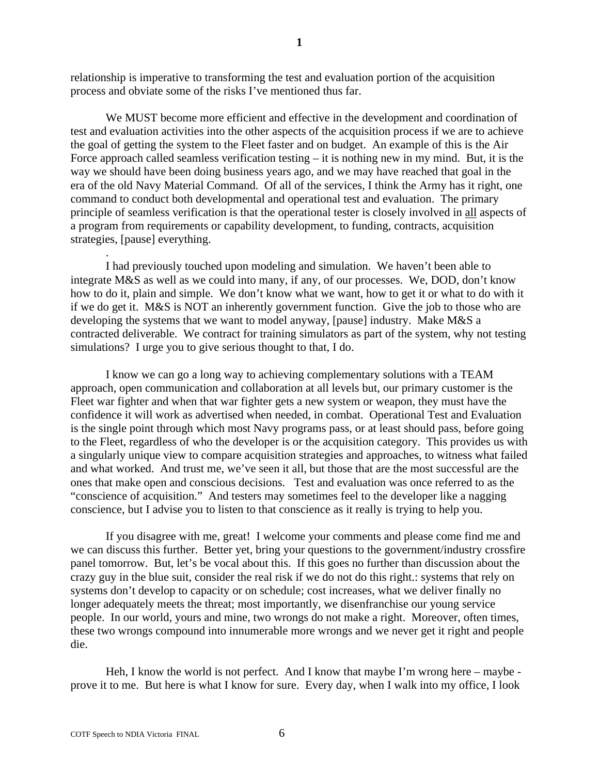relationship is imperative to transforming the test and evaluation portion of the acquisition process and obviate some of the risks I've mentioned thus far.

We MUST become more efficient and effective in the development and coordination of test and evaluation activities into the other aspects of the acquisition process if we are to achieve the goal of getting the system to the Fleet faster and on budget. An example of this is the Air Force approach called seamless verification testing – it is nothing new in my mind. But, it is the way we should have been doing business years ago, and we may have reached that goal in the era of the old Navy Material Command. Of all of the services, I think the Army has it right, one command to conduct both developmental and operational test and evaluation. The primary principle of seamless verification is that the operational tester is closely involved in all aspects of a program from requirements or capability development, to funding, contracts, acquisition strategies, [pause] everything.

I had previously touched upon modeling and simulation. We haven't been able to integrate M&S as well as we could into many, if any, of our processes. We, DOD, don't know how to do it, plain and simple. We don't know what we want, how to get it or what to do with it if we do get it. M&S is NOT an inherently government function. Give the job to those who are developing the systems that we want to model anyway, [pause] industry. Make M&S a contracted deliverable. We contract for training simulators as part of the system, why not testing simulations? I urge you to give serious thought to that, I do.

I know we can go a long way to achieving complementary solutions with a TEAM approach, open communication and collaboration at all levels but, our primary customer is the Fleet war fighter and when that war fighter gets a new system or weapon, they must have the confidence it will work as advertised when needed, in combat. Operational Test and Evaluation is the single point through which most Navy programs pass, or at least should pass, before going to the Fleet, regardless of who the developer is or the acquisition category. This provides us with a singularly unique view to compare acquisition strategies and approaches, to witness what failed and what worked. And trust me, we've seen it all, but those that are the most successful are the ones that make open and conscious decisions. Test and evaluation was once referred to as the "conscience of acquisition." And testers may sometimes feel to the developer like a nagging conscience, but I advise you to listen to that conscience as it really is trying to help you.

If you disagree with me, great! I welcome your comments and please come find me and we can discuss this further. Better yet, bring your questions to the government/industry crossfire panel tomorrow. But, let's be vocal about this. If this goes no further than discussion about the crazy guy in the blue suit, consider the real risk if we do not do this right.: systems that rely on systems don't develop to capacity or on schedule; cost increases, what we deliver finally no longer adequately meets the threat; most importantly, we disenfranchise our young service people. In our world, yours and mine, two wrongs do not make a right. Moreover, often times, these two wrongs compound into innumerable more wrongs and we never get it right and people die.

Heh, I know the world is not perfect. And I know that maybe I'm wrong here – maybe prove it to me. But here is what I know for sure. Every day, when I walk into my office, I look

.